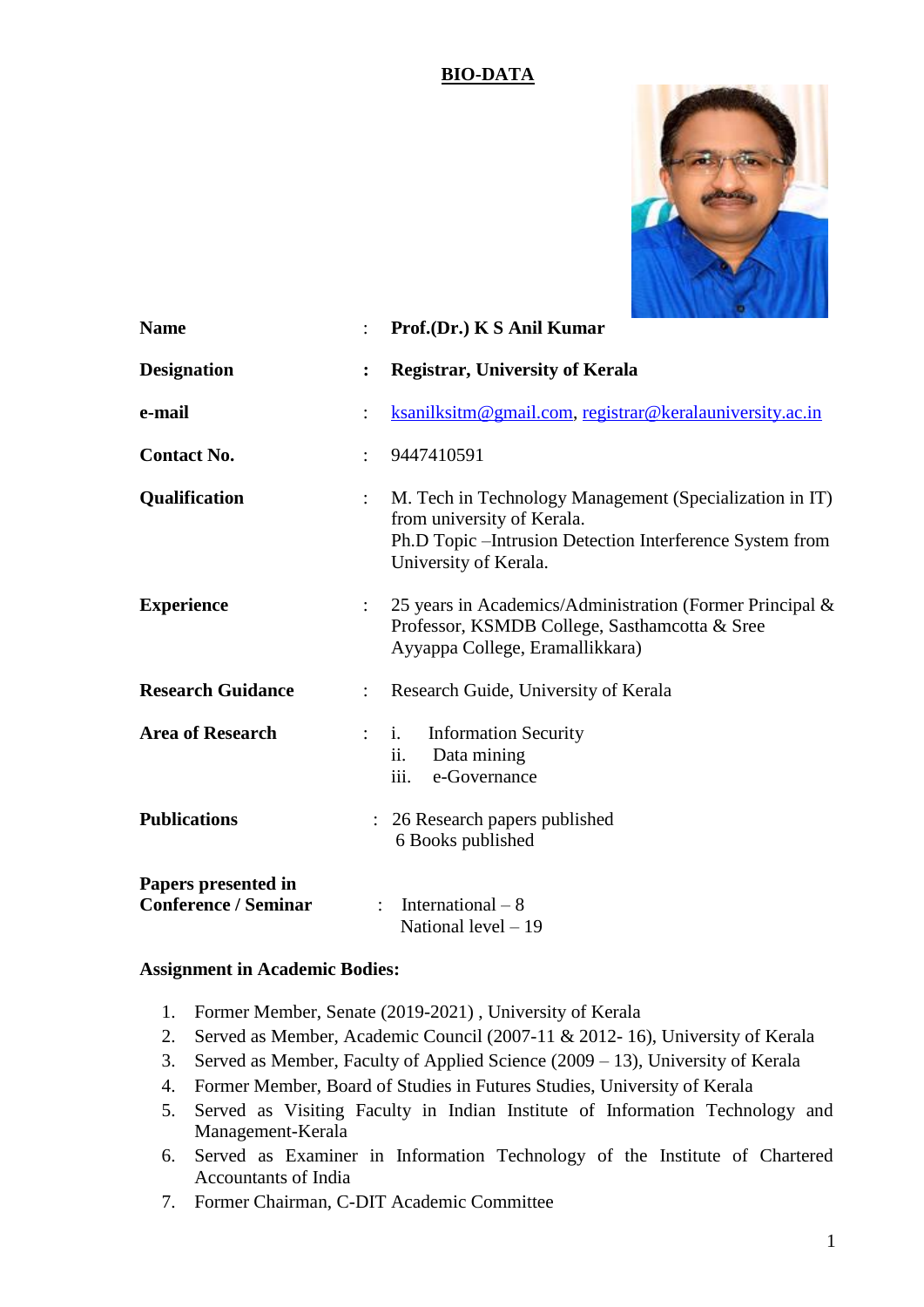## **BIO-DATA**



| <b>Name</b>                                        |                      | Prof.(Dr.) K S Anil Kumar                                                                                                                                                   |
|----------------------------------------------------|----------------------|-----------------------------------------------------------------------------------------------------------------------------------------------------------------------------|
| <b>Designation</b>                                 | $\ddot{\cdot}$       | <b>Registrar, University of Kerala</b>                                                                                                                                      |
| e-mail                                             |                      | ksanilksitm@gmail.com, registrar@keralauniversity.ac.in                                                                                                                     |
| <b>Contact No.</b>                                 | $\ddot{\phantom{a}}$ | 9447410591                                                                                                                                                                  |
| Qualification                                      |                      | M. Tech in Technology Management (Specialization in IT)<br>from university of Kerala.<br>Ph.D Topic – Intrusion Detection Interference System from<br>University of Kerala. |
| <b>Experience</b>                                  |                      | 25 years in Academics/Administration (Former Principal &<br>Professor, KSMDB College, Sasthamcotta & Sree<br>Ayyappa College, Eramallikkara)                                |
| <b>Research Guidance</b>                           | $\ddot{\phantom{0}}$ | Research Guide, University of Kerala                                                                                                                                        |
| <b>Area of Research</b>                            | $\ddot{\phantom{a}}$ | <b>Information Security</b><br>$\mathbf{i}$ .<br>Data mining<br>ii.<br>iii.<br>e-Governance                                                                                 |
| <b>Publications</b>                                |                      | : 26 Research papers published<br>6 Books published                                                                                                                         |
| Papers presented in<br><b>Conference / Seminar</b> |                      | International $-8$<br>National level $-19$                                                                                                                                  |

## **Assignment in Academic Bodies:**

- 1. Former Member, Senate (2019-2021) , University of Kerala
- 2. Served as Member, Academic Council (2007-11 & 2012- 16), University of Kerala
- 3. Served as Member, Faculty of Applied Science (2009 13), University of Kerala
- 4. Former Member, Board of Studies in Futures Studies, University of Kerala
- 5. Served as Visiting Faculty in Indian Institute of Information Technology and Management-Kerala
- 6. Served as Examiner in Information Technology of the Institute of Chartered Accountants of India
- 7. Former Chairman, C-DIT Academic Committee